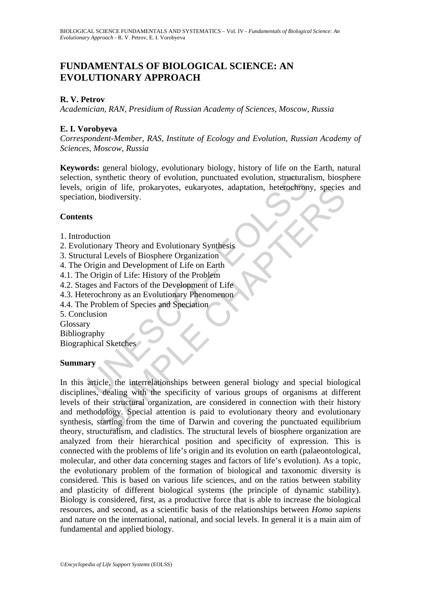# **FUNDAMENTALS OF BIOLOGICAL SCIENCE: AN EVOLUTIONARY APPROACH**

### **R. V. Petrov**

*Academician, RAN, Presidium of Russian Academy of Sciences, Moscow, Russia* 

### **E. I. Vorobyeva**

*Correspondent-Member, RAS, Institute of Ecology and Evolution, Russian Academy of Sciences, Moscow, Russia* 

n, synthetic theory of evolution, punctuated evolution, structural<br>origin of life, prokaryotes, eukaryotes, adaptation, heterochron<br>on, biodiversity.<br>
ts<br>
ts<br>
ts<br>
tutural Levels of Biosphere Organization<br>
Drigin and Develo **Keywords:** general biology, evolutionary biology, history of life on the Earth, natural selection, synthetic theory of evolution, punctuated evolution, structuralism, biosphere levels, origin of life, prokaryotes, eukaryotes, adaptation, heterochrony, species and speciation, biodiversity.

### **Contents**

- 1. Introduction
- 2. Evolutionary Theory and Evolutionary Synthesis
- 3. Structural Levels of Biosphere Organization
- 4. The Origin and Development of Life on Earth
- 4.1. The Origin of Life: History of the Problem
- 4.2. Stages and Factors of the Development of Life
- 4.3. Heterochrony as an Evolutionary Phenomenon
- 4.4. The Problem of Species and Speciation
- 5. Conclusion

Glossary

- Bibliography
- Biographical Sketches

#### **Summary**

in of life, prokaryotes, eukaryotes, adaptation, heterochrony, species<br>biodiversity.<br>tion<br>mary Theory and Evolutionary Synthesis<br>al Levels of Biosphere Organization<br>in and Development of Life on Earth<br>and Factors of the De In this article, the interrelationships between general biology and special biological disciplines, dealing with the specificity of various groups of organisms at different levels of their structural organization, are considered in connection with their history and methodology. Special attention is paid to evolutionary theory and evolutionary synthesis, starting from the time of Darwin and covering the punctuated equilibrium theory, structuralism, and cladistics. The structural levels of biosphere organization are analyzed from their hierarchical position and specificity of expression. This is connected with the problems of life's origin and its evolution on earth (palaeontological, molecular, and other data concerning stages and factors of life's evolution). As a topic, the evolutionary problem of the formation of biological and taxonomic diversity is considered. This is based on various life sciences, and on the ratios between stability and plasticity of different biological systems (the principle of dynamic stability). Biology is considered, first, as a productive force that is able to increase the biological resources, and second, as a scientific basis of the relationships between *Homo sapiens* and nature on the international, national, and social levels. In general it is a main aim of fundamental and applied biology.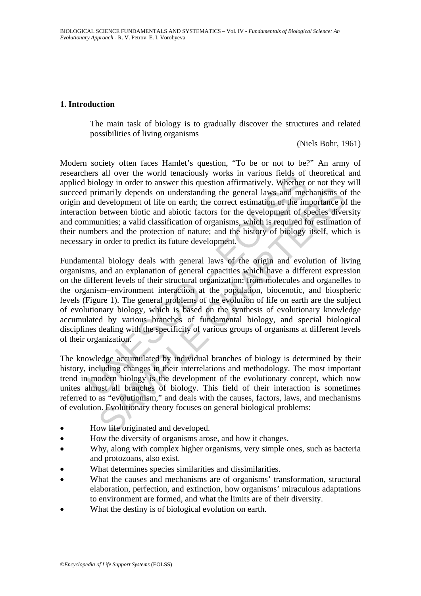### **1. Introduction**

The main task of biology is to gradually discover the structures and related possibilities of living organisms

(Niels Bohr, 1961)

Modern society often faces Hamlet's question, "To be or not to be?" An army of researchers all over the world tenaciously works in various fields of theoretical and applied biology in order to answer this question affirmatively. Whether or not they will succeed primarily depends on understanding the general laws and mechanisms of the origin and development of life on earth; the correct estimation of the importance of the interaction between biotic and abiotic factors for the development of species diversity and communities; a valid classification of organisms, which is required for estimation of their numbers and the protection of nature; and the history of biology itself, which is necessary in order to predict its future development.

is an over the world tentactolayl works in various fries and over the biology in order to answer this question affirmatively. Whether explore primarily depends on understanding the general laws and mechod development of li Expansive of the control to entertainty and mechanisms of development of life on earth; the correct estimation of the importance of between biotic and abiotic factors for the development of species diverse biotic and inclu Fundamental biology deals with general laws of the origin and evolution of living organisms, and an explanation of general capacities which have a different expression on the different levels of their structural organization: from molecules and organelles to the organism–environment interaction at the population, biocenotic, and biospheric levels (Figure 1). The general problems of the evolution of life on earth are the subject of evolutionary biology, which is based on the synthesis of evolutionary knowledge accumulated by various branches of fundamental biology, and special biological disciplines dealing with the specificity of various groups of organisms at different levels of their organization.

The knowledge accumulated by individual branches of biology is determined by their history, including changes in their interrelations and methodology. The most important trend in modern biology is the development of the evolutionary concept, which now unites almost all branches of biology. This field of their interaction is sometimes referred to as "evolutionism," and deals with the causes, factors, laws, and mechanisms of evolution. Evolutionary theory focuses on general biological problems:

- How life originated and developed.
- How the diversity of organisms arose, and how it changes.
- Why, along with complex higher organisms, very simple ones, such as bacteria and protozoans, also exist.
- What determines species similarities and dissimilarities.
- What the causes and mechanisms are of organisms' transformation, structural elaboration, perfection, and extinction, how organisms' miraculous adaptations to environment are formed, and what the limits are of their diversity.
- What the destiny is of biological evolution on earth.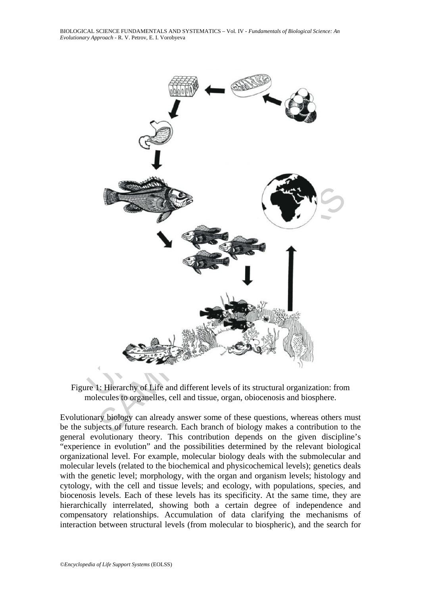BIOLOGICAL SCIENCE FUNDAMENTALS AND SYSTEMATICS – Vol. IV - *Fundamentals of Biological Science: An Evolutionary Approach* - R. V. Petrov, E. I. Vorobyeva



Figure 1: Hierarchy of Life and different levels of its structural organization: from molecules to organelles, cell and tissue, organ, obiocenosis and biosphere.

Evolutionary biology can already answer some of these questions, whereas others must be the subjects of future research. Each branch of biology makes a contribution to the general evolutionary theory. This contribution depends on the given discipline's "experience in evolution" and the possibilities determined by the relevant biological organizational level. For example, molecular biology deals with the submolecular and molecular levels (related to the biochemical and physicochemical levels); genetics deals with the genetic level; morphology, with the organ and organism levels; histology and cytology, with the cell and tissue levels; and ecology, with populations, species, and biocenosis levels. Each of these levels has its specificity. At the same time, they are hierarchically interrelated, showing both a certain degree of independence and compensatory relationships. Accumulation of data clarifying the mechanisms of interaction between structural levels (from molecular to biospheric), and the search for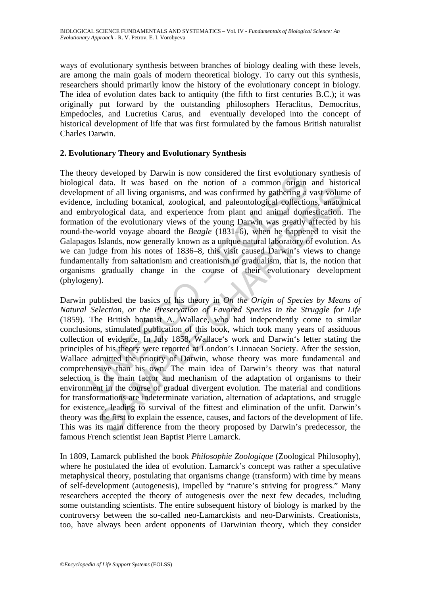ways of evolutionary synthesis between branches of biology dealing with these levels, are among the main goals of modern theoretical biology. To carry out this synthesis, researchers should primarily know the history of the evolutionary concept in biology. The idea of evolution dates back to antiquity (the fifth to first centuries B.C.); it was originally put forward by the outstanding philosophers Heraclitus, Democritus, Empedocles, and Lucretius Carus, and eventually developed into the concept of historical development of life that was first formulated by the famous British naturalist Charles Darwin.

### **2. Evolutionary Theory and Evolutionary Synthesis**

or<br>or developed by Darwin is now conisitented the inst evolutional<br>cal data. It was based on the notion of a common origin<br>ment of all living organisms, and was confirmed by gathering a<br>e, including botanical, zoological, The theory developed by Darwin is now considered the first evolutionary synthesis of biological data. It was based on the notion of a common origin and historical development of all living organisms, and was confirmed by gathering a vast volume of evidence, including botanical, zoological, and paleontological collections, anatomical and embryological data, and experience from plant and animal domestication. The formation of the evolutionary views of the young Darwin was greatly affected by his round-the-world voyage aboard the *Beagle* (1831–6), when he happened to visit the Galapagos Islands, now generally known as a unique natural laboratory of evolution. As we can judge from his notes of 1836–8, this visit caused Darwin's views to change fundamentally from saltationism and creationism to gradualism, that is, the notion that organisms gradually change in the course of their evolutionary development (phylogeny).

that of all living organisms, and was confirmed by gathering a vast volum<br>including botanical, zoological, and paleontological collections, anator<br>ological data, and experience from plant and animal domestication.<br>Of the e Darwin published the basics of his theory in *On the Origin of Species by Means of Natural Selection, or the Preservation of Favored Species in the Struggle for Life* (1859). The British botanist A. Wallace, who had independently come to similar conclusions, stimulated publication of this book, which took many years of assiduous collection of evidence. In July 1858, Wallace's work and Darwin's letter stating the principles of his theory were reported at London's Linnaean Society. After the session, Wallace admitted the priority of Darwin, whose theory was more fundamental and comprehensive than his own. The main idea of Darwin's theory was that natural selection is the main factor and mechanism of the adaptation of organisms to their environment in the course of gradual divergent evolution. The material and conditions for transformations are indeterminate variation, alternation of adaptations, and struggle for existence, leading to survival of the fittest and elimination of the unfit. Darwin's theory was the first to explain the essence, causes, and factors of the development of life. This was its main difference from the theory proposed by Darwin's predecessor, the famous French scientist Jean Baptist Pierre Lamarck.

In 1809, Lamarck published the book *Philosophie Zoologique* (Zoological Philosophy), where he postulated the idea of evolution. Lamarck's concept was rather a speculative metaphysical theory, postulating that organisms change (transform) with time by means of self-development (autogenesis), impelled by "nature's striving for progress." Many researchers accepted the theory of autogenesis over the next few decades, including some outstanding scientists. The entire subsequent history of biology is marked by the controversy between the so-called neo-Lamarckists and neo-Darwinists. Creationists, too, have always been ardent opponents of Darwinian theory, which they consider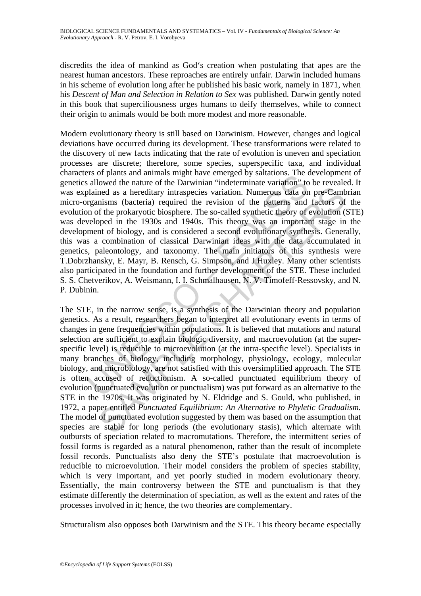discredits the idea of mankind as God's creation when postulating that apes are the nearest human ancestors. These reproaches are entirely unfair. Darwin included humans in his scheme of evolution long after he published his basic work, namely in 1871, when his *Descent of Man and Selection in Relation to Sex* was published. Darwin gently noted in this book that superciliousness urges humans to deify themselves, while to connect their origin to animals would be both more modest and more reasonable.

Exis or panas an animats might rave emergeu by statatoms. The sallowed the nature of the Darwinian "indeterminate variation" to plained as a hereditary intraspecies variation. Numerous data or reganisms (bacteria) required Modern evolutionary theory is still based on Darwinism. However, changes and logical deviations have occurred during its development. These transformations were related to the discovery of new facts indicating that the rate of evolution is uneven and speciation processes are discrete; therefore, some species, superspecific taxa, and individual characters of plants and animals might have emerged by saltations. The development of genetics allowed the nature of the Darwinian "indeterminate variation" to be revealed. It was explained as a hereditary intraspecies variation. Numerous data on pre-Cambrian micro-organisms (bacteria) required the revision of the patterns and factors of the evolution of the prokaryotic biosphere. The so-called synthetic theory of evolution (STE) was developed in the 1930s and 1940s. This theory was an important stage in the development of biology, and is considered a second evolutionary synthesis. Generally, this was a combination of classical Darwinian ideas with the data accumulated in genetics, paleontology, and taxonomy. The main initiators of this synthesis were T.Dobrzhansky, E. Mayr, B. Rensch, G. Simpson, and J.Huxley. Many other scientists also participated in the foundation and further development of the STE. These included S. S. Chetverikov, A. Weismann, I. I. Schmalhausen, N. V. Timofeff-Ressovsky, and N. P. Dubinin.

ned as a hereditary intraspecies variation. Numerous data on pre-Cambusms (bacteria) required the revision of the patterns and factors of the prokaryotic biosphere. The so-called synthetic theory of evolution (i.e., the or The STE, in the narrow sense, is a synthesis of the Darwinian theory and population genetics. As a result, researchers began to interpret all evolutionary events in terms of changes in gene frequencies within populations. It is believed that mutations and natural selection are sufficient to explain biologic diversity, and macroevolution (at the superspecific level) is reducible to microevolution (at the intra-specific level). Specialists in many branches of biology, including morphology, physiology, ecology, molecular biology, and microbiology, are not satisfied with this oversimplified approach. The STE is often accused of reductionism. A so-called punctuated equilibrium theory of evolution (punctuated evolution or punctualism) was put forward as an alternative to the STE in the 1970s. It was originated by N. Eldridge and S. Gould, who published, in 1972, a paper entitled *Punctuated Equilibrium: An Alternative to Phyletic Gradualism.* The model of punctuated evolution suggested by them was based on the assumption that species are stable for long periods (the evolutionary stasis), which alternate with outbursts of speciation related to macromutations. Therefore, the intermittent series of fossil forms is regarded as a natural phenomenon, rather than the result of incomplete fossil records. Punctualists also deny the STE's postulate that macroevolution is reducible to microevolution. Their model considers the problem of species stability, which is very important, and yet poorly studied in modern evolutionary theory. Essentially, the main controversy between the STE and punctualism is that they estimate differently the determination of speciation, as well as the extent and rates of the processes involved in it; hence, the two theories are complementary.

Structuralism also opposes both Darwinism and the STE. This theory became especially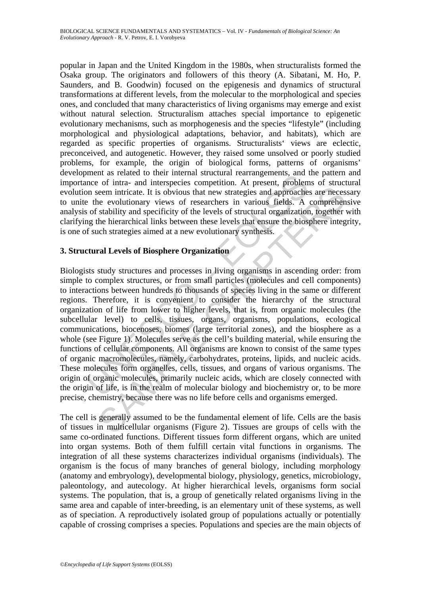popular in Japan and the United Kingdom in the 1980s, when structuralists formed the Osaka group. The originators and followers of this theory (A. Sibatani, M. Ho, P. Saunders, and B. Goodwin) focused on the epigenesis and dynamics of structural transformations at different levels, from the molecular to the morphological and species ones, and concluded that many characteristics of living organisms may emerge and exist without natural selection. Structuralism attaches special importance to epigenetic evolutionary mechanisms, such as morphogenesis and the species "lifestyle" (including morphological and physiological adaptations, behavior, and habitats), which are regarded as specific properties of organisms. Structuralists' views are eclectic, preconceived, and autogenetic. However, they raised some unsolved or poorly studied problems, for example, the origin of biological forms, patterns of organisms' development as related to their internal structural rearrangements, and the pattern and importance of intra- and interspecies competition. At present, problems of structural evolution seem intricate. It is obvious that new strategies and approaches are necessary to unite the evolutionary views of researchers in various fields. A comprehensive analysis of stability and specificity of the levels of structural organization, together with clarifying the hierarchical links between these levels that ensure the biosphere integrity, is one of such strategies aimed at a new evolutionary synthesis.

## **3. Structural Levels of Biosphere Organization**

menta as leated to their lineral suctural reating<br>tennet of intra- and interspecies competition. At present, problem<br>on seem intricate. It is obvious that new strategies and approache<br>the evolutionary views of researchers enerally and specificity of the levels of the remainder of the coulting tends in the multicellular organisms (Figure 2). Tissues the multicellular of the tends of structural organization, together stability and specificity Biologists study structures and processes in living organisms in ascending order: from simple to complex structures, or from small particles (molecules and cell components) to interactions between hundreds to thousands of species living in the same or different regions. Therefore, it is convenient to consider the hierarchy of the structural organization of life from lower to higher levels, that is, from organic molecules (the subcellular level) to cells, tissues, organs, organisms, populations, ecological communications, biocenoses, biomes (large territorial zones), and the biosphere as a whole (see Figure 1). Molecules serve as the cell's building material, while ensuring the functions of cellular components. All organisms are known to consist of the same types of organic macromolecules, namely, carbohydrates, proteins, lipids, and nucleic acids. These molecules form organelles, cells, tissues, and organs of various organisms. The origin of organic molecules, primarily nucleic acids, which are closely connected with the origin of life, is in the realm of molecular biology and biochemistry or, to be more precise, chemistry, because there was no life before cells and organisms emerged.

The cell is generally assumed to be the fundamental element of life. Cells are the basis of tissues in multicellular organisms (Figure 2). Tissues are groups of cells with the same co-ordinated functions. Different tissues form different organs, which are united into organ systems. Both of them fulfill certain vital functions in organisms. The integration of all these systems characterizes individual organisms (individuals). The organism is the focus of many branches of general biology, including morphology (anatomy and embryology), developmental biology, physiology, genetics, microbiology, paleontology, and autecology. At higher hierarchical levels, organisms form social systems. The population, that is, a group of genetically related organisms living in the same area and capable of inter-breeding, is an elementary unit of these systems, as well as of speciation. A reproductively isolated group of populations actually or potentially capable of crossing comprises a species. Populations and species are the main objects of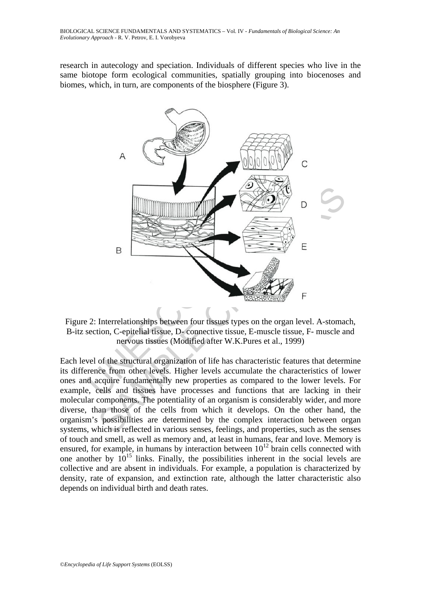research in autecology and speciation. Individuals of different species who live in the same biotope form ecological communities, spatially grouping into biocenoses and biomes, which, in turn, are components of the biosphere (Figure 3).



Figure 2: Interrelationships between four tissues types on the organ level. A-stomach, B-itz section, C-epitelial tissue, D- connective tissue, E-muscle tissue, F- muscle and nervous tissues (Modified after W.K.Pures et al., 1999)

Each level of the structural organization of life has characteristic features that determine its difference from other levels. Higher levels accumulate the characteristics of lower ones and acquire fundamentally new properties as compared to the lower levels. For example, cells and tissues have processes and functions that are lacking in their molecular components. The potentiality of an organism is considerably wider, and more diverse, than those of the cells from which it develops. On the other hand, the organism's possibilities are determined by the complex interaction between organ systems, which is reflected in various senses, feelings, and properties, such as the senses of touch and smell, as well as memory and, at least in humans, fear and love. Memory is ensured, for example, in humans by interaction between  $10^{12}$  brain cells connected with one another by  $10^{15}$  links. Finally, the possibilities inherent in the social levels are collective and are absent in individuals. For example, a population is characterized by density, rate of expansion, and extinction rate, although the latter characteristic also depends on individual birth and death rates.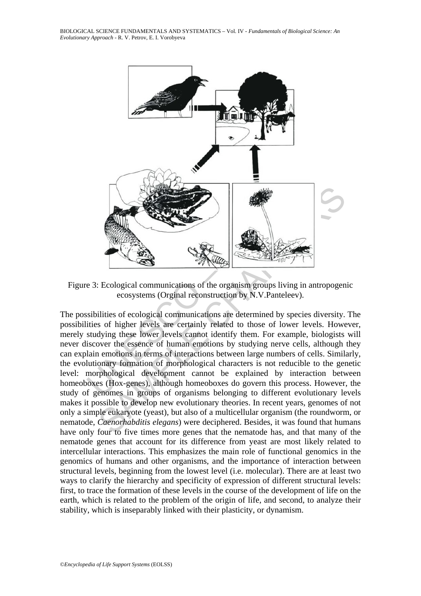BIOLOGICAL SCIENCE FUNDAMENTALS AND SYSTEMATICS – Vol. IV - *Fundamentals of Biological Science: An Evolutionary Approach* - R. V. Petrov, E. I. Vorobyeva



Figure 3: Ecological communications of the organism groups living in antropogenic ecosystems (Orginal reconstruction by N.V.Panteleev).

Ecological communications of the organism groups living in antropogence cosystems (Orginal reconstruction by N.V.Panteleev).<br>
Ecological communications of the organism groups living in antropogence cosystems (Orginal recon The possibilities of ecological communications are determined by species diversity. The possibilities of higher levels are certainly related to those of lower levels. However, merely studying these lower levels cannot identify them. For example, biologists will never discover the essence of human emotions by studying nerve cells, although they can explain emotions in terms of interactions between large numbers of cells. Similarly, the evolutionary formation of morphological characters is not reducible to the genetic level: morphological development cannot be explained by interaction between homeoboxes (Hox-genes), although homeoboxes do govern this process. However, the study of genomes in groups of organisms belonging to different evolutionary levels makes it possible to develop new evolutionary theories. In recent years, genomes of not only a simple eukaryote (yeast), but also of a multicellular organism (the roundworm, or nematode, *Caenorhabditis elegans*) were deciphered. Besides, it was found that humans have only four to five times more genes that the nematode has, and that many of the nematode genes that account for its difference from yeast are most likely related to intercellular interactions. This emphasizes the main role of functional genomics in the genomics of humans and other organisms, and the importance of interaction between structural levels, beginning from the lowest level (i.e. molecular). There are at least two ways to clarify the hierarchy and specificity of expression of different structural levels: first, to trace the formation of these levels in the course of the development of life on the earth, which is related to the problem of the origin of life, and second, to analyze their stability, which is inseparably linked with their plasticity, or dynamism.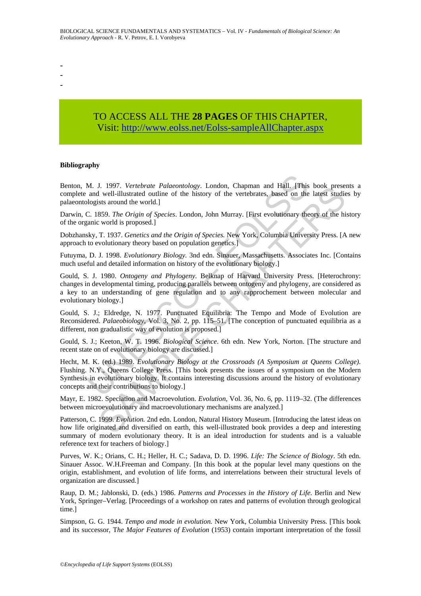- -
- -
- TO ACCESS ALL THE **28 PAGES** OF THIS CHAPTER, Visit[: http://www.eolss.net/Eolss-sampleAllChapter.aspx](https://www.eolss.net/ebooklib/sc_cart.aspx?File=E6-71-08-07)

#### **Bibliography**

Benton, M. J. 1997. *Vertebrate Palaeontology*. London, Chapman and Hall. [This book presents a complete and well-illustrated outline of the history of the vertebrates, based on the latest studies by palaeontologists around the world.]

Darwin, C. 1859. *The Origin of Species*. London, John Murray. [First evolutionary theory of the history of the organic world is proposed.]

Dobzhansky, T. 1937. *Genetics and the Origin of Species.* New York, Columbia University Press. [A new approach to evolutionary theory based on population genetics.]

Futuyma, D. J. 1998. *Evolutionary Biology.* 3nd edn. Sinauer, Massachusetts. Associates Inc. [Contains much useful and detailed information on history of the evolutionary biology.]

M. J. 1997. *Vertebrate Palaeontology*. London, Chapman and Hall. [This and well-illustrated outline of the history of the vertebrates, based on the logists around the world.]<br>C. 1859. *The Origin of Species*. London, John 1. 1991. Vertebrate Pataceontology. London, Cnappan and Hall. [1nsis book pressel]<br>1. well-illustrated outline of the history of the vertebrates, based on the latest studie<br>ists around the world.]<br>859. The Origin of Speci Gould, S. J. 1980. *Ontogeny and Phylogeny*. Belknap of Harvard University Press. [Heterochrony: changes in developmental timing, producing parallels between ontogeny and phylogeny, are considered as a key to an understanding of gene regulation and to any rapprochement between molecular and evolutionary biology.]

Gould, S. J.; Eldredge, N. 1977. Punctuated Equilibria: The Tempo and Mode of Evolution are Reconsidered. *Palaeobiology,* Vol. 3, No. 2, pp. 115–51. [The conception of punctuated equilibria as a different, non gradualistic way of evolution is proposed.]

Gould, S. J.; Keeton, W. T. 1996. *Biological Science*. 6th edn. New York, Norton. [The structure and recent state on of evolutionary biology are discussed.]

Hecht, M. K. (ed.) 1989. *Evolutionary Biology at the Crossroads (A Symposium at Queens College)*. Flushing. N.Y., Queens College Press. [This book presents the issues of a symposium on the Modern Synthesis in evolutionary biology. It contains interesting discussions around the history of evolutionary concepts and their contributions to biology.]

Mayr, E. 1982. Speciation and Macroevolution. *Evolution,* Vol. 36, No. 6, pp. 1119–32. (The differences between microevolutionary and macroevolutionary mechanisms are analyzed.]

Patterson, C. 1999. *Evolution.* 2nd edn. London, Natural History Museum. [Introducing the latest ideas on how life originated and diversified on earth, this well-illustrated book provides a deep and interesting summary of modern evolutionary theory. It is an ideal introduction for students and is a valuable reference text for teachers of biology.]

Purves, W. K.; Orians, C. H.; Heller, H. C.; Sadava, D. D. 1996. *Life: The Science of Biology*. 5th edn. Sinauer Assoc. W.H.Freeman and Company. [In this book at the popular level many questions on the origin, establishment, and evolution of life forms, and interrelations between their structural levels of organization are discussed.]

Raup, D. M.; Jablonski, D. (eds.) 1986. *Patterns and Processes in the History of Life*. Berlin and New York, Springer–Verlag. [Proceedings of a workshop on rates and patterns of evolution through geological time.]

Simpson, G. G. 1944. *Tempo and mode in evolution.* New York, Columbia University Press. [This book and its successor, T*he Major Features of Evolution* (1953) contain important interpretation of the fossil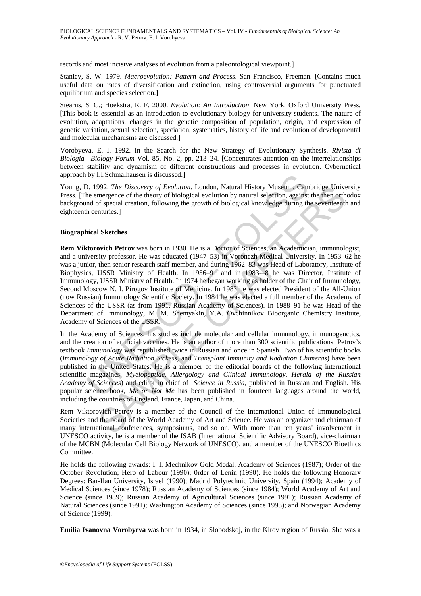records and most incisive analyses of evolution from a paleontological viewpoint.]

Stanley, S. W. 1979. *Macroevolution: Pattern and Process*. San Francisco, Freeman. [Contains much useful data on rates of diversification and extinction, using controversial arguments for punctuated equilibrium and species selection.]

Stearns, S. C.; Hoekstra, R. F. 2000. *Evolution: An Introduction*. New York, Oxford University Press. [This book is essential as an introduction to evolutionary biology for university students. The nature of evolution, adaptations, changes in the genetic composition of population, origin, and expression of genetic variation, sexual selection, speciation, systematics, history of life and evolution of developmental and molecular mechanisms are discussed.]

Vorobyeva, E. I. 1992. In the Search for the New Strategy of Evolutionary Synthesis. *Rivista di Biologia—Biology Forum* Vol. 85, No. 2, pp. 213–24. [Concentrates attention on the interrelationships between stability and dynamism of different constructions and processes in evolution. Cybernetical approach by I.I.Schmalhausen is discussed.]

Young, D. 1992. *The Discovery of Evolution*. London, Natural History Museum, Cambridge University Press. [The emergence of the theory of biological evolution by natural selection, against the then orthodox background of special creation, following the growth of biological knowledge during the seventeenth and eighteenth centuries.]

#### **Biographical Sketches**

by I.I.Schmalhausen is discussed.]<br>
2. 1992. *The Discovery of Evolution*. London, Natural History Museum, Cam<br>
and of special creation, following the growth of biological knowledge during th<br>
and of special creation, fol 992. The Discovery of Evolution. London, Natural History Museum, Cambridge Universal mengence of the theory of Evolution by natural selection, against the then oth of special creation, following the growth of biological kn **Rem Viktorovich Petrov** was born in 1930. He is a Doctor of Sciences, an Academician, immunologist, and a university professor. He was educated (1947–53) in Voronezh Medical University. In 1953–62 he was a junior, then senior research staff member, and during 1962–83 was Head of Laboratory, Institute of Biophysics, USSR Ministry of Health. In 1956–91 and in 1983-–8 he was Director, Institute of Immunology, USSR Ministry of Health. In 1974 he began working as holder of the Chair of Immunology, Second Moscow N. I. Pirogov Institute of Medicine. In 1983 he was elected President of the All-Union (now Russian) Immunology Scientific Society. In 1984 he was elected a full member of the Academy of Sciences of the USSR (as from 1991, Russian Academy of Sciences). In 1988–91 he was Head of the Department of Immunology, M. M. Shemyakin, Y.A. Ovchinnikov Bioorganic Chemistry Institute, Academy of Sciences of the USSR.

In the Academy of Sciences, his studies include molecular and cellular immunology, immunogenctics, and the creation of artificial vaccines. He is an author of more than 300 scientific publications. Petrov's textbook *Immunology* was republished twice in Russian and once in Spanish. Two of his scientific books (*Immunology of Acute Radiation Sickess*, and *Transplant Immunity and Radiation Chimeras*) have been published in the United States. He is a member of the editorial boards of the following international scientific magazines: *Myelopeptide, Allergology and Clinical Immunology, Herald of the Russian Academy of Sciences*) and editor in chief of *Science in Russia*, published in Russian and English. His popular science book, *Me or Not Me* has been published in fourteen languages around the world, including the countries of England, France, Japan, and China.

Rem Viktorovich Petrov is a member of the Council of the International Union of Immunological Societies and the board of the World Academy of Art and Science. He was an organizer and chairman of many international conferences, symposiums, and so on. With more than ten years' involvement in UNESCO activity, he is a member of the ISAB (International Scientific Advisory Board), vice-chairman of the MCBN (Molecular Cell Biology Network of UNESCO), and a member of the UNESCO Bioethics Committee.

He holds the following awards: I. I. Mechnikov Gold Medal, Academy of Sciences (1987); Order of the October Revolution; Hero of Labour (1990); 0rder of Lenin (1990). He holds the following Honorary Degrees: Bar-Ilan University, Israel (1990); Madrid Polytechnic University, Spain (1994); Academy of Medical Sciences (since 1978); Russian Academy of Sciences (since 1984); World Academy of Art and Science (since 1989); Russian Academy of Agricultural Sciences (since 1991); Russian Academy of Natural Sciences (since 1991); Washington Academy of Sciences (since 1993); and Norwegian Academy of Science (1999).

**Emilia Ivanovna Vorobyeva** was born in 1934, in Slobodskoj, in the Kirov region of Russia. She was a